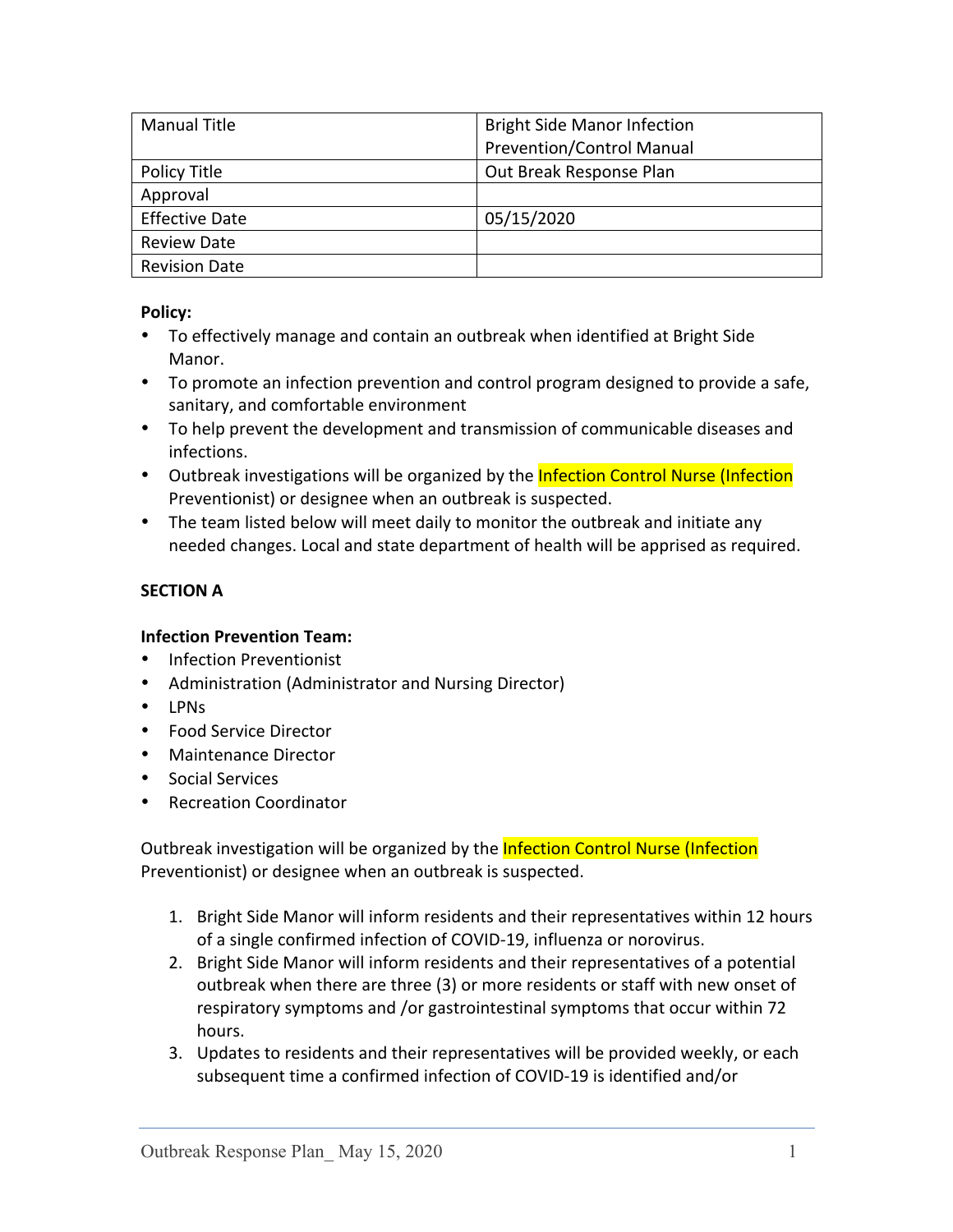| <b>Manual Title</b>   | <b>Bright Side Manor Infection</b> |
|-----------------------|------------------------------------|
|                       | Prevention/Control Manual          |
| Policy Title          | Out Break Response Plan            |
| Approval              |                                    |
| <b>Effective Date</b> | 05/15/2020                         |
| <b>Review Date</b>    |                                    |
| <b>Revision Date</b>  |                                    |

# **Policy:**

- To effectively manage and contain an outbreak when identified at Bright Side Manor.
- To promote an infection prevention and control program designed to provide a safe, sanitary, and comfortable environment
- To help prevent the development and transmission of communicable diseases and infections.
- Outbreak investigations will be organized by the Infection Control Nurse (Infection Preventionist) or designee when an outbreak is suspected.
- The team listed below will meet daily to monitor the outbreak and initiate any needed changes. Local and state department of health will be apprised as required.

# **SECTION A**

## **Infection Prevention Team:**

- Infection Preventionist
- Administration (Administrator and Nursing Director)
- LPNs
- Food Service Director
- Maintenance Director
- Social Services
- Recreation Coordinator

Outbreak investigation will be organized by the **Infection Control Nurse (Infection** Preventionist) or designee when an outbreak is suspected.

- 1. Bright Side Manor will inform residents and their representatives within 12 hours of a single confirmed infection of COVID-19, influenza or norovirus.
- 2. Bright Side Manor will inform residents and their representatives of a potential outbreak when there are three (3) or more residents or staff with new onset of respiratory symptoms and /or gastrointestinal symptoms that occur within 72 hours.
- 3. Updates to residents and their representatives will be provided weekly, or each subsequent time a confirmed infection of COVID-19 is identified and/or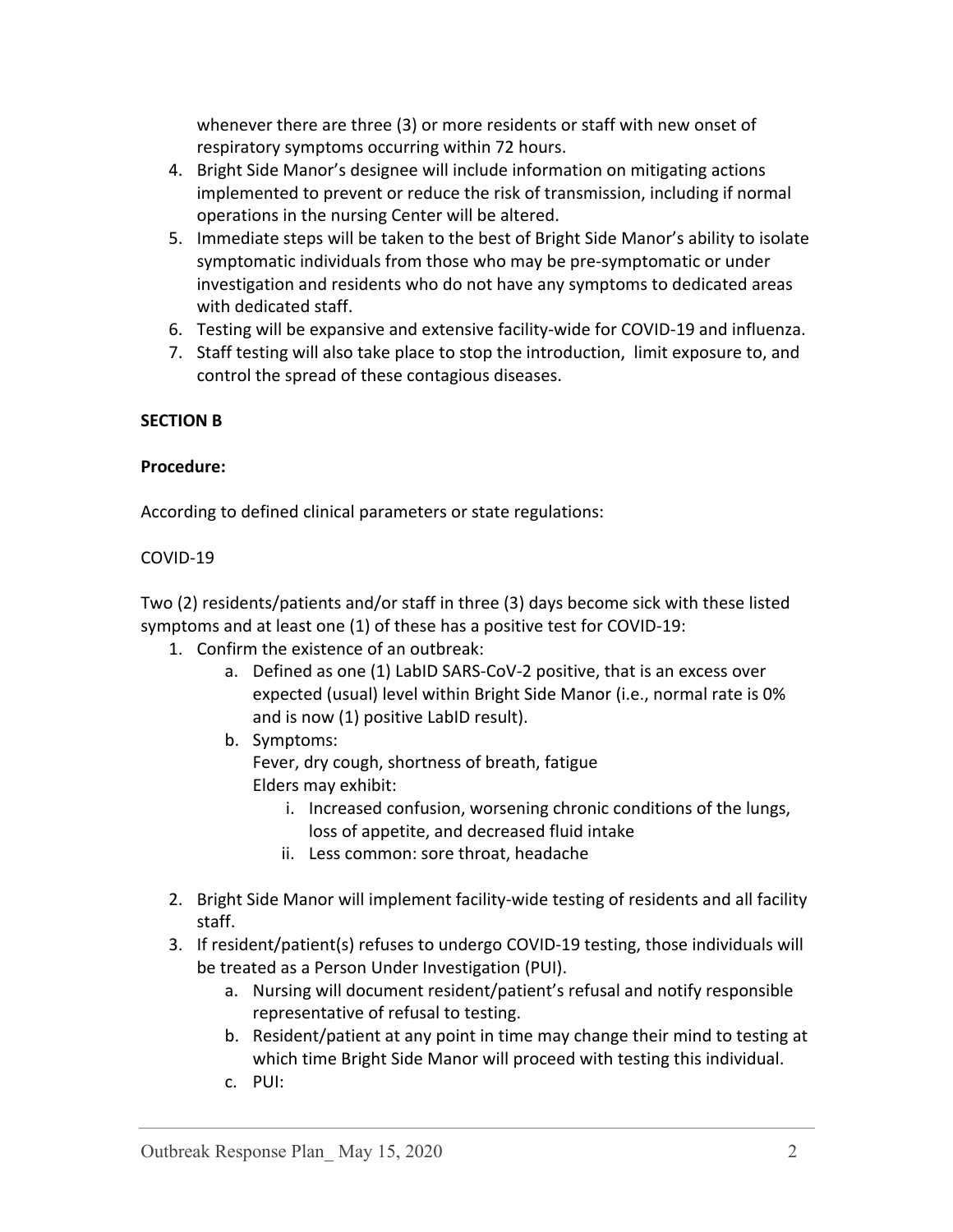whenever there are three (3) or more residents or staff with new onset of respiratory symptoms occurring within 72 hours.

- 4. Bright Side Manor's designee will include information on mitigating actions implemented to prevent or reduce the risk of transmission, including if normal operations in the nursing Center will be altered.
- 5. Immediate steps will be taken to the best of Bright Side Manor's ability to isolate symptomatic individuals from those who may be pre-symptomatic or under investigation and residents who do not have any symptoms to dedicated areas with dedicated staff.
- 6. Testing will be expansive and extensive facility-wide for COVID-19 and influenza.
- 7. Staff testing will also take place to stop the introduction, limit exposure to, and control the spread of these contagious diseases.

## **SECTION B**

#### **Procedure:**

According to defined clinical parameters or state regulations:

#### COVID-19

Two (2) residents/patients and/or staff in three (3) days become sick with these listed symptoms and at least one (1) of these has a positive test for COVID-19:

- 1. Confirm the existence of an outbreak:
	- a. Defined as one (1) LabID SARS-CoV-2 positive, that is an excess over expected (usual) level within Bright Side Manor (i.e., normal rate is 0% and is now (1) positive LabID result).
	- b. Symptoms: Fever, dry cough, shortness of breath, fatigue Elders may exhibit:
		- i. Increased confusion, worsening chronic conditions of the lungs, loss of appetite, and decreased fluid intake
		- ii. Less common: sore throat, headache
- 2. Bright Side Manor will implement facility-wide testing of residents and all facility staff.
- 3. If resident/patient(s) refuses to undergo COVID-19 testing, those individuals will be treated as a Person Under Investigation (PUI).
	- a. Nursing will document resident/patient's refusal and notify responsible representative of refusal to testing.
	- b. Resident/patient at any point in time may change their mind to testing at which time Bright Side Manor will proceed with testing this individual.
	- c. PUI: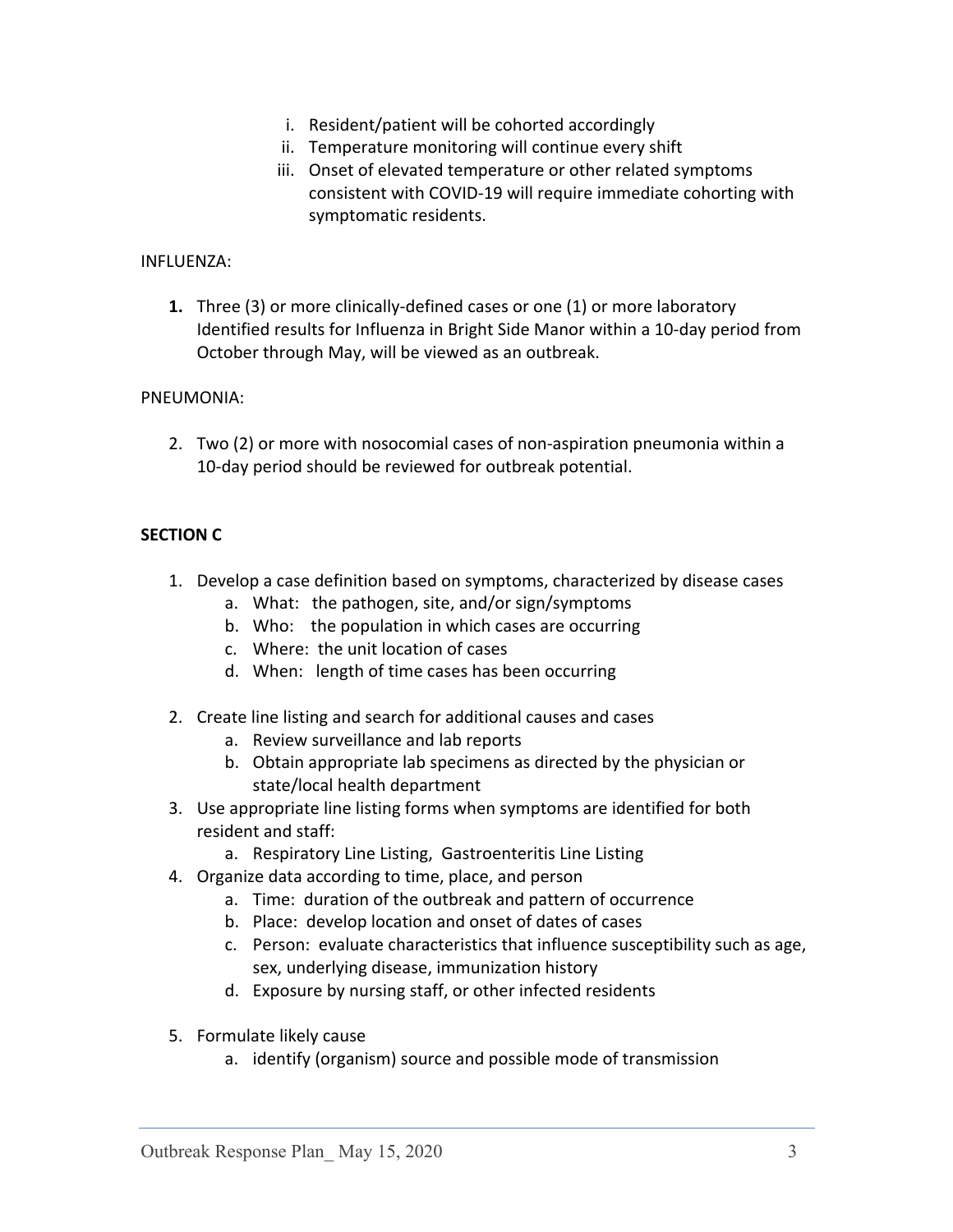- i. Resident/patient will be cohorted accordingly
- ii. Temperature monitoring will continue every shift
- iii. Onset of elevated temperature or other related symptoms consistent with COVID-19 will require immediate cohorting with symptomatic residents.

#### INFLUENZA:

**1.** Three (3) or more clinically-defined cases or one (1) or more laboratory Identified results for Influenza in Bright Side Manor within a 10-day period from October through May, will be viewed as an outbreak.

#### PNEUMONIA:

2. Two (2) or more with nosocomial cases of non-aspiration pneumonia within a 10-day period should be reviewed for outbreak potential.

## **SECTION C**

- 1. Develop a case definition based on symptoms, characterized by disease cases
	- a. What: the pathogen, site, and/or sign/symptoms
	- b. Who: the population in which cases are occurring
	- c. Where: the unit location of cases
	- d. When: length of time cases has been occurring
- 2. Create line listing and search for additional causes and cases
	- a. Review surveillance and lab reports
	- b. Obtain appropriate lab specimens as directed by the physician or state/local health department
- 3. Use appropriate line listing forms when symptoms are identified for both resident and staff:
	- a. Respiratory Line Listing, Gastroenteritis Line Listing
- 4. Organize data according to time, place, and person
	- a. Time: duration of the outbreak and pattern of occurrence
	- b. Place: develop location and onset of dates of cases
	- c. Person: evaluate characteristics that influence susceptibility such as age, sex, underlying disease, immunization history
	- d. Exposure by nursing staff, or other infected residents
- 5. Formulate likely cause
	- a. identify (organism) source and possible mode of transmission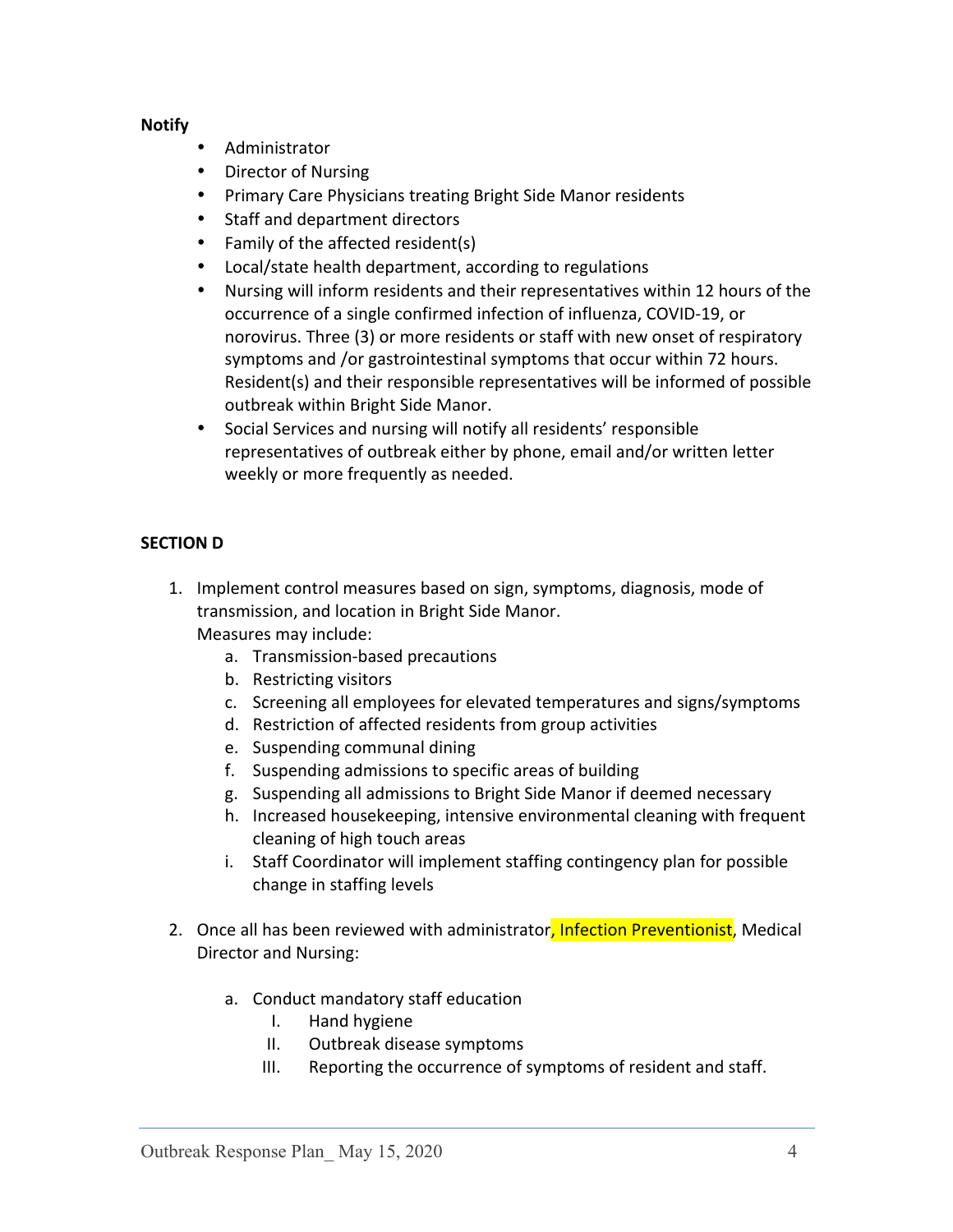### **Notify**

- Administrator
- Director of Nursing
- Primary Care Physicians treating Bright Side Manor residents
- Staff and department directors
- Family of the affected resident(s)
- Local/state health department, according to regulations
- Nursing will inform residents and their representatives within 12 hours of the occurrence of a single confirmed infection of influenza, COVID-19, or norovirus. Three (3) or more residents or staff with new onset of respiratory symptoms and /or gastrointestinal symptoms that occur within 72 hours. Resident(s) and their responsible representatives will be informed of possible outbreak within Bright Side Manor.
- Social Services and nursing will notify all residents' responsible representatives of outbreak either by phone, email and/or written letter weekly or more frequently as needed.

# **SECTION** D

- 1. Implement control measures based on sign, symptoms, diagnosis, mode of transmission, and location in Bright Side Manor. Measures may include:
	- a. Transmission-based precautions
	- b. Restricting visitors
	- c. Screening all employees for elevated temperatures and signs/symptoms
	- d. Restriction of affected residents from group activities
	- e. Suspending communal dining
	- f. Suspending admissions to specific areas of building
	- g. Suspending all admissions to Bright Side Manor if deemed necessary
	- h. Increased housekeeping, intensive environmental cleaning with frequent cleaning of high touch areas
	- i. Staff Coordinator will implement staffing contingency plan for possible change in staffing levels
- 2. Once all has been reviewed with administrator, Infection Preventionist, Medical Director and Nursing:
	- a. Conduct mandatory staff education
		- I. Hand hygiene
		- II. Outbreak disease symptoms
		- III. Reporting the occurrence of symptoms of resident and staff.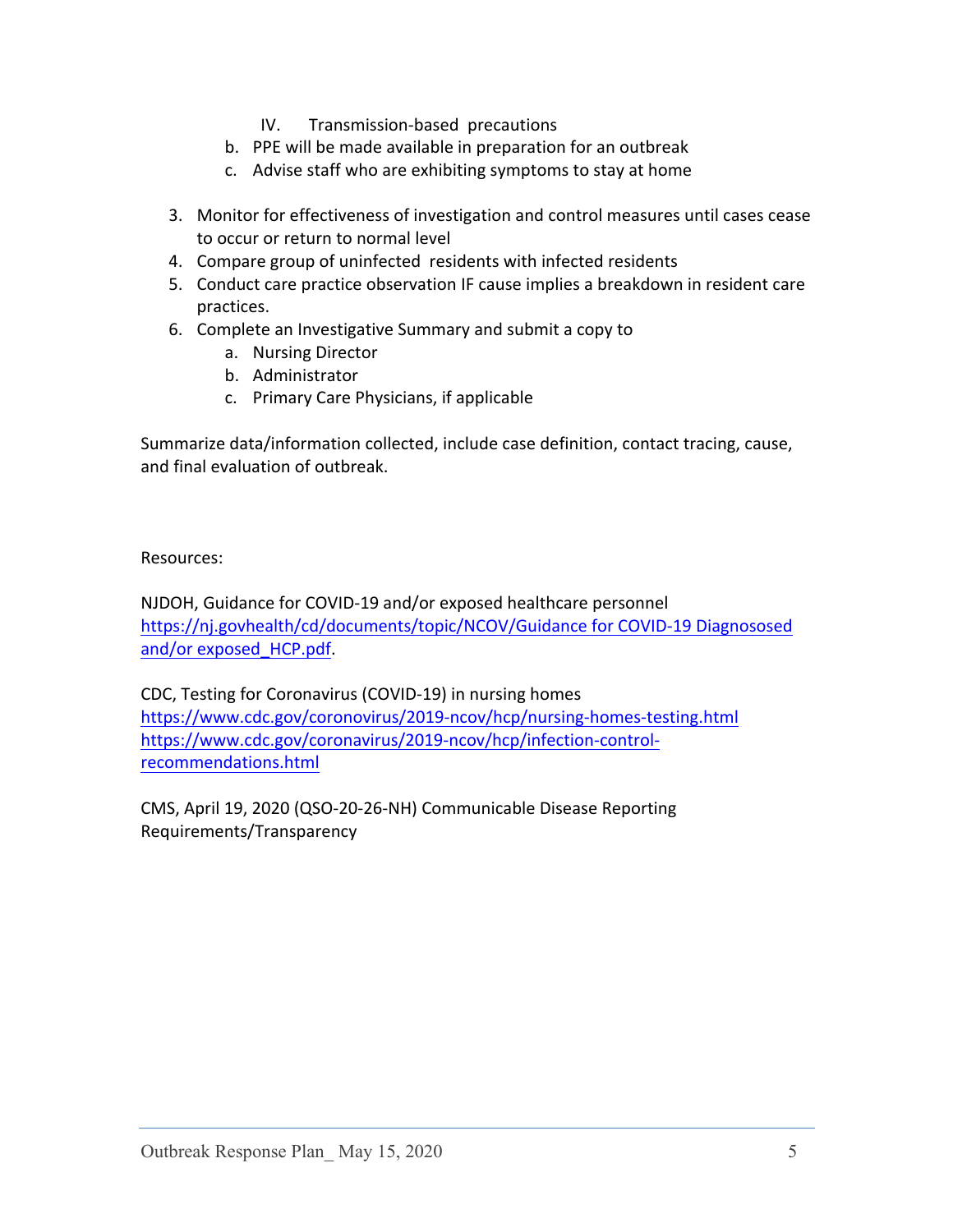- IV. Transmission-based precautions
- b. PPE will be made available in preparation for an outbreak
- c. Advise staff who are exhibiting symptoms to stay at home
- 3. Monitor for effectiveness of investigation and control measures until cases cease to occur or return to normal level
- 4. Compare group of uninfected residents with infected residents
- 5. Conduct care practice observation IF cause implies a breakdown in resident care practices.
- 6. Complete an Investigative Summary and submit a copy to
	- a. Nursing Director
	- b. Administrator
	- c. Primary Care Physicians, if applicable

Summarize data/information collected, include case definition, contact tracing, cause, and final evaluation of outbreak.

Resources: 

NJDOH, Guidance for COVID-19 and/or exposed healthcare personnel https://nj.govhealth/cd/documents/topic/NCOV/Guidance for COVID-19 Diagnososed and/or exposed HCP.pdf.

CDC, Testing for Coronavirus (COVID-19) in nursing homes https://www.cdc.gov/coronovirus/2019-ncov/hcp/nursing-homes-testing.html https://www.cdc.gov/coronavirus/2019-ncov/hcp/infection-controlrecommendations.html

CMS, April 19, 2020 (QSO-20-26-NH) Communicable Disease Reporting Requirements/Transparency